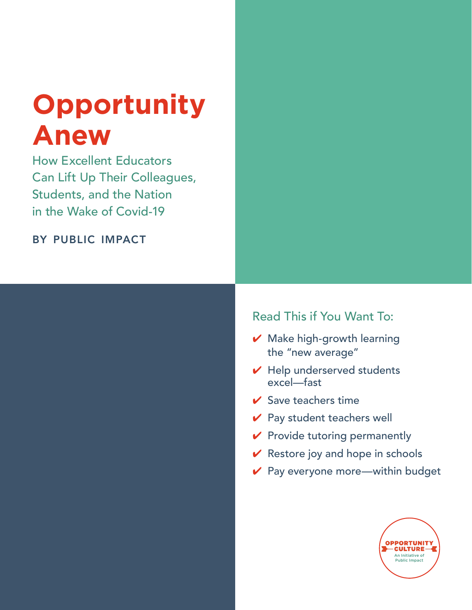# **Opportunity Anew**

How Excellent Educators Can Lift Up Their Colleagues, Students, and the Nation in the Wake of Covid-19

by public impact

# Read This if You Want To:

- $\vee$  Make high-growth learning the "new average"
- $\vee$  Help underserved students excel—fast
- $\vee$  Save teachers time
- $\vee$  Pay student teachers well
- $\vee$  Provide tutoring permanently
- $\vee$  Restore joy and hope in schools
- $\vee$  Pay everyone more—within budget

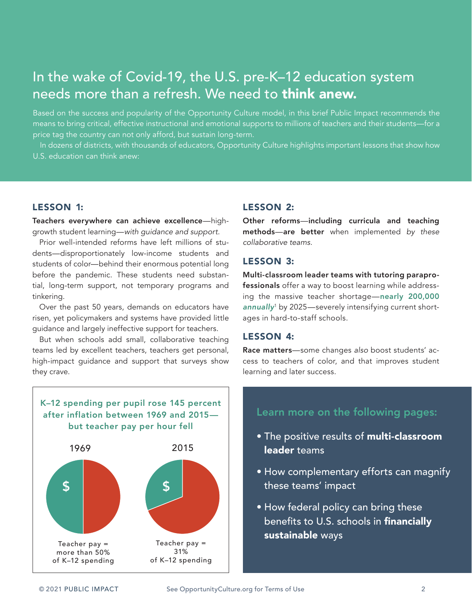# In the wake of Covid-19, the U.S. pre-K–12 education system needs more than a refresh. We need to **think anew.**

Based on the success and popularity of the Opportunity Culture model, in this brief Public Impact recommends the means to bring critical, effective instructional and emotional supports to millions of teachers and their students—for a price tag the country can not only afford, but sustain long-term.

In dozens of districts, with thousands of educators, Opportunity Culture highlights important lessons that show how U.S. education can think anew:

# LESSON 1:

Teachers everywhere can achieve excellence—highgrowth student learning—*with guidance and support.*

Prior well-intended reforms have left millions of students—disproportionately low-income students and students of color—behind their enormous potential long before the pandemic. These students need substantial, long-term support, not temporary programs and tinkering.

Over the past 50 years, demands on educators have risen, yet policymakers and systems have provided little guidance and largely ineffective support for teachers.

But when schools add small, collaborative teaching teams led by excellent teachers, teachers get personal, high-impact guidance and support that surveys show they crave.



## lesson 2:

Other reforms—including curricula and teaching methods—are better when implemented *by these collaborative teams.*

## LESSON 3:

Multi-classroom leader teams with tutoring paraprofessionals offer a way to boost learning while addressing the massive teacher shortage—[nearly 200,000](https://www.epi.org/publication/the-teacher-shortage-is-real-large-and-growing-and-worse-than-we-thought-the-first-report-in-the-perfect-storm-in-the-teacher-labor-market-series/) *[annually](https://www.epi.org/publication/the-teacher-shortage-is-real-large-and-growing-and-worse-than-we-thought-the-first-report-in-the-perfect-storm-in-the-teacher-labor-market-series/)*<sup>1</sup> by 2025—severely intensifying current shortages in hard-to-staff schools.

## lesson 4:

Race matters—some changes *also* boost students' access to teachers of color, and that improves student learning and later success.

# Learn more on the following pages:

- The positive results of multi-classroom leader teams
- How complementary efforts can magnify these teams' impact
- How federal policy can bring these benefits to U.S. schools in financially sustainable ways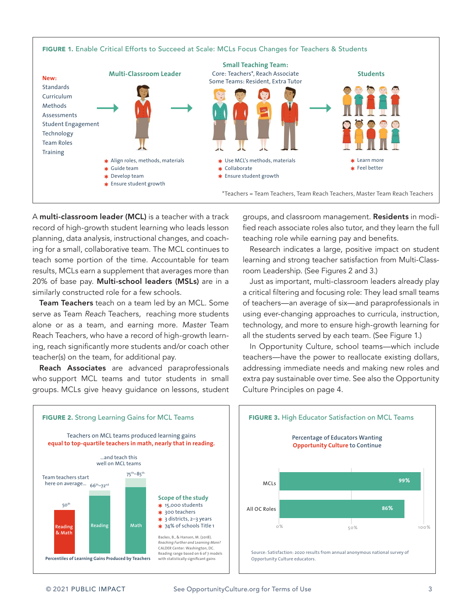

A multi-classroom leader (MCL) is a teacher with a track record of high-growth student learning who leads lesson planning, data analysis, instructional changes, and coaching for a small, collaborative team. The MCL continues to teach some portion of the time. Accountable for team results, MCLs earn a supplement that averages more than 20% of base pay. Multi-school leaders (MSLs) are in a similarly constructed role for a few schools.

Team Teachers teach on a team led by an MCL. Some serve as Team *Reach* Teachers, reaching more students alone or as a team, and earning more. *Master* Team Reach Teachers, who have a record of high-growth learning, reach significantly more students and/or coach other teacher(s) on the team, for additional pay.

Reach Associates are advanced paraprofessionals who support MCL teams and tutor students in small groups. MCLs give heavy guidance on lessons, student groups, and classroom management. Residents in modified reach associate roles also tutor, and they learn the full teaching role while earning pay and benefits.

Research indicates a large, positive impact on student learning and strong teacher satisfaction from Multi-Classroom Leadership. (See Figures 2 and 3.)

Just as important, multi-classroom leaders already play a critical filtering and focusing role: They lead small teams of teachers—an average of six—and paraprofessionals in using ever-changing approaches to curricula, instruction, technology, and more to ensure high-growth learning for all the students served by each team. (See Figure 1.)

In Opportunity Culture, school teams—which include teachers—have the power to reallocate existing dollars, addressing immediate needs and making new roles and extra pay sustainable over time. See also the Opportunity Culture Principles on page 4.

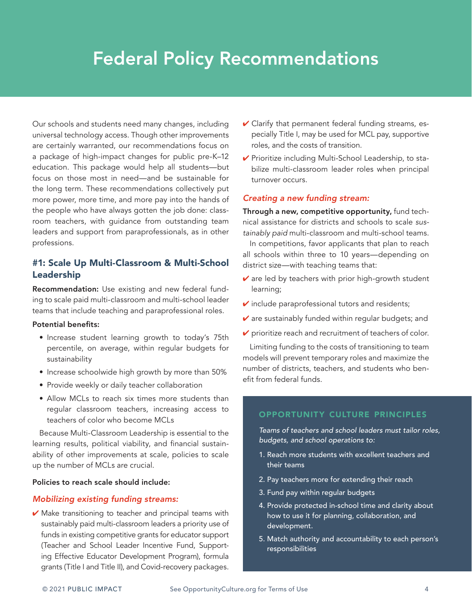# Federal Policy Recommendations

Our schools and students need many changes, including universal technology access. Though other improvements are certainly warranted, our recommendations focus on a package of high-impact changes for public pre-K–12 education. This package would help all students—but focus on those most in need—and be sustainable for the long term. These recommendations collectively put more power, more time, and more pay into the hands of the people who have always gotten the job done: classroom teachers, with guidance from outstanding team leaders and support from paraprofessionals, as in other professions.

# #1: Scale Up Multi-Classroom & Multi-School Leadership

Recommendation: Use existing and new federal funding to scale paid multi-classroom and multi-school leader teams that include teaching and paraprofessional roles.

#### Potential benefits:

- Increase student learning growth to today's 75th percentile, on average, within regular budgets for sustainability
- Increase schoolwide high growth by more than 50%
- Provide weekly or daily teacher collaboration
- Allow MCLs to reach six times more students than regular classroom teachers, increasing access to teachers of color who become MCLs

Because Multi-Classroom Leadership is essential to the learning results, political viability, and financial sustainability of other improvements at scale, policies to scale up the number of MCLs are crucial.

## Policies to reach scale should include:

#### *Mobilizing existing funding streams:*

 $\vee$  Make transitioning to teacher and principal teams with sustainably paid multi-classroom leaders a priority use of funds in existing competitive grants for educator support (Teacher and School Leader Incentive Fund, Supporting Effective Educator Development Program), formula grants (Title I and Title II), and Covid-recovery packages.

- $\vee$  Clarify that permanent federal funding streams, especially Title I, may be used for MCL pay, supportive roles, and the costs of transition.
- ✔ Prioritize including Multi-School Leadership, to stabilize multi-classroom leader roles when principal turnover occurs.

#### *Creating a new funding stream:*

Through a new, competitive opportunity, fund technical assistance for districts and schools to scale *sustainably paid* multi-classroom and multi-school teams.

In competitions, favor applicants that plan to reach all schools within three to 10 years—depending on district size—with teaching teams that:

- $\vee$  are led by teachers with prior high-growth student learning;
- $\triangleright$  include paraprofessional tutors and residents;
- $\vee$  are sustainably funded within regular budgets; and
- $\triangleright$  prioritize reach and recruitment of teachers of color.

Limiting funding to the costs of transitioning to team models will prevent temporary roles and maximize the number of districts, teachers, and students who benefit from federal funds.

### opportunity culture principles

*Teams of teachers and school leaders must tailor roles, budgets, and school operations to:*

- 1. Reach more students with excellent teachers and their teams
- 2. Pay teachers more for extending their reach
- 3. Fund pay within regular budgets
- 4. Provide protected in-school time and clarity about how to use it for planning, collaboration, and development.
- 5. Match authority and accountability to each person's responsibilities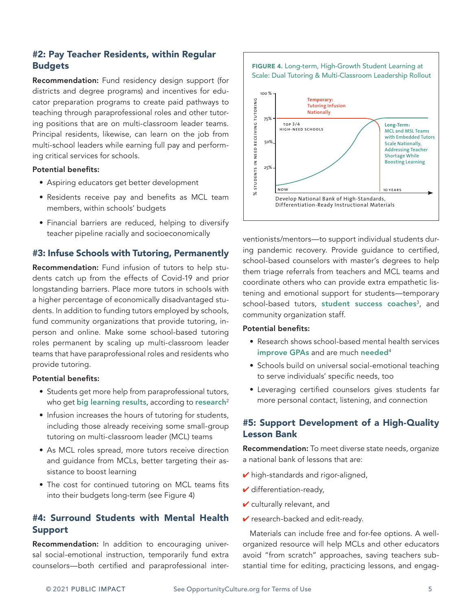# #2: Pay Teacher Residents, within Regular **Budgets**

Recommendation: Fund residency design support (for districts and degree programs) and incentives for educator preparation programs to create paid pathways to teaching through paraprofessional roles and other tutoring positions that are on multi-classroom leader teams. Principal residents, likewise, can learn on the job from multi-school leaders while earning full pay and performing critical services for schools.

#### Potential benefits:

- Aspiring educators get better development
- Residents receive pay and benefits as MCL team members, within schools' budgets
- Financial barriers are reduced, helping to diversify teacher pipeline racially and socioeconomically

# #3: Infuse Schools with Tutoring, Permanently

Recommendation: Fund infusion of tutors to help students catch up from the effects of Covid-19 and prior longstanding barriers. Place more tutors in schools with a higher percentage of economically disadvantaged students. In addition to funding tutors employed by schools, fund community organizations that provide tutoring, inperson and online. Make some school-based tutoring roles permanent by scaling up multi-classroom leader teams that have paraprofessional roles and residents who provide tutoring.

#### Potential benefits:

- Students get more help from paraprofessional tutors, who get [big learning results](https://robertslavinsblog.wordpress.com/2018/04/05/new-findings-on-tutoring-four-shockers/), according to [research](https://www.nber.org/papers/w27476)<sup>2</sup>
- Infusion increases the hours of tutoring for students, including those already receiving some small-group tutoring on multi-classroom leader (MCL) teams
- As MCL roles spread, more tutors receive direction and guidance from MCLs, better targeting their assistance to boost learning
- The cost for continued tutoring on MCL teams fits into their budgets long-term (see Figure 4)

# #4: Surround Students with Mental Health Support

Recommendation: In addition to encouraging universal social-emotional instruction, temporarily fund extra counselors—both certified and paraprofessional inter-

#### FIGURE 4. Long-term, High-Growth Student Learning at Scale: Dual Tutoring & Multi-Classroom Leadership Rollout



ventionists/mentors—to support individual students during pandemic recovery. Provide guidance to certified, school-based counselors with master's degrees to help them triage referrals from teachers and MCL teams and coordinate others who can provide extra empathetic listening and emotional support for students—temporary school-based tutors, [student success coaches](http://new.every1graduates.org/wp-content/uploads/2021/03/CorpsforStudentSuccessFramework_FINAL.pdf)<sup>3</sup>, and community organization staff.

#### Potential benefits:

- Research shows school-based mental health services [improve GPAs](https://pubmed.ncbi.nlm.nih.gov/28766317/) and are much [needed](https://namica.org/blog/impact-on-the-mental-health-of-students-during-covid-19/)<sup>4</sup>
- Schools build on universal social-emotional teaching to serve individuals' specific needs, too
- Leveraging certified counselors gives students far more personal contact, listening, and connection

# #5: Support Development of a High-Quality Lesson Bank

Recommendation: To meet diverse state needs, organize a national bank of lessons that are:

- $\vee$  high-standards and rigor-aligned,
- $\blacktriangleright$  differentiation-ready,
- $\checkmark$  culturally relevant, and
- $\vee$  research-backed and edit-ready.

Materials can include free and for-fee options. A wellorganized resource will help MCLs and other educators avoid "from scratch" approaches, saving teachers sub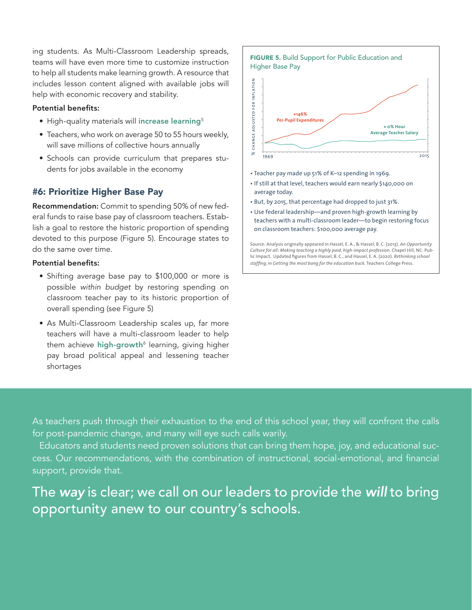ing students. As Multi-Classroom Leadership spreads, teams will have even more time to customize instruction to help all students make learning growth. A resource that includes lesson content aligned with available jobs will help with economic recovery and stability.

#### Potential benefits:

- High-quality materials will [increase learning](https://jscholarship.library.jhu.edu/bitstream/handle/1774.2/62999/sw-curriculum-research-report-fnl.pdf?sequence=1&isAllowed=y)<sup>5</sup>
- Teachers, who work on average 50 to 55 hours weekly, will save millions of collective hours annually
- Schools can provide curriculum that prepares students for jobs available in the economy

# #6: Prioritize Higher Base Pay

Recommendation: Commit to spending 50% of new federal funds to raise base pay of classroom teachers. Establish a goal to restore the historic proportion of spending devoted to this purpose (Figure 5). Encourage states to do the same over time.

#### Potential benefits:

- Shifting average base pay to \$100,000 or more is possible *within budget* by restoring spending on classroom teacher pay to its historic proportion of overall spending (see Figure 5)
- As Multi-Classroom Leadership scales up, far more teachers will have a multi-classroom leader to help them achieve **[high-growth](https://www.brookings.edu/blog/brown-center-chalkboard/2018/01/25/new-teaching-model-yields-learning-improvement-for-students-in-math/)**6 learning, giving higher pay broad political appeal and lessening teacher shortages



- If still at that level, teachers would earn nearly \$140,000 on average today.
- But, by 2015, that percentage had dropped to just 31%.
- Use federal leadership—and proven high-growth learning by teachers with a multi-classroom leader—to begin restoring focus on classroom teachers: \$100,000 average pay.

Source: Analysis originally appeared in Hassel, E. A., & Hassel, B. C. (2013). *An Opportunity Culture for all: Making teaching a highly paid, high-impact profession.* Chapel Hill, NC: Public Impact. Updated figures from Hassel, B. C., and Hassel, E. A. (2020). *Rethinking school staffing*, in *Getting the most bang for the education buck.* Teachers College Press.

As teachers push through their exhaustion to the end of this school year, they will confront the calls for post-pandemic change, and many will eye such calls warily.

Educators and students need proven solutions that can bring them hope, joy, and educational success. Our recommendations, with the combination of instructional, social-emotional, and financial support, provide that.

The *way* is clear; we call on our leaders to provide the *will* to bring opportunity anew to our country's schools.